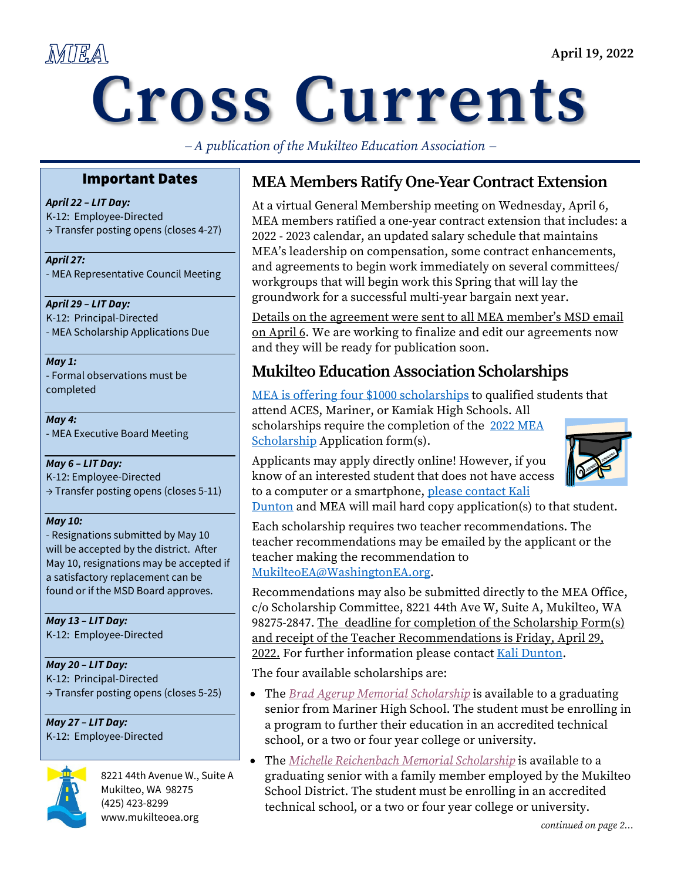## MIEA

# **Cross Currents**

− *A publication of the Mukilteo Education Association* <sup>−</sup>

#### Important Dates

*April 22 – LIT Day:* K-12: Employee-Directed → Transfer posting opens (closes 4-27)

*April 27:* - MEA Representative Council Meeting

#### *April 29 – LIT Day:*

K-12: Principal-Directed - MEA Scholarship Applications Due

#### *May 1:*

- Formal observations must be completed

*May 4:*  - MEA Executive Board Meeting

#### *May 6 – LIT Day:*

K-12: Employee-Directed → Transfer posting opens (closes 5-11)

#### *May 10:*

- Resignations submitted by May 10 will be accepted by the district. After May 10, resignations may be accepted if a satisfactory replacement can be found or if the MSD Board approves.

*May 13 – LIT Day:*  K-12: Employee-Directed

#### *May 20 – LIT Day:* K-12: Principal-Directed → Transfer posting opens (closes 5-25)

*May 27 – LIT Day:* K-12: Employee-Directed



8221 44th Avenue W., Suite A Mukilteo, WA 98275 (425) 423-8299 www.mukilteoea.org

## **MEA Members Ratify One-Year Contract Extension**

At a virtual General Membership meeting on Wednesday, April 6, MEA members ratified a one-year contract extension that includes: a 2022 - 2023 calendar, an updated salary schedule that maintains MEA's leadership on compensation, some contract enhancements, and agreements to begin work immediately on several committees/ workgroups that will begin work this Spring that will lay the groundwork for a successful multi-year bargain next year.

Details on the agreement were sent to all MEA member's MSD email on April 6. We are working to finalize and edit our agreements now and they will be ready for publication soon.

## **Mukilteo Education Association Scholarships**

[MEA is offering four \\$1000 scholarships](https://nam11.safelinks.protection.outlook.com/?url=http%3A%2F%2Fmukilteoea.org%2Findex.php%2Fnews-mainmenu-19%2F3-newsflash%2F33-scholarships&data=04%7C01%7Ctkartchner%40washingtonea.org%7Cbc7f87218a7f4afefdf708da0223e806%7Cc51bd6ee3b224c0ba0fdfc3c3d347ca7%7C0%7C0%7C637824650485858542%7CUnknown%7CTWFpbGZsb3d8eyJWIjoiMC4wLjAwMDAiLCJQIjoiV2luMzIiLCJBTiI6Ik1haWwiLCJXVCI6Mn0%3D%7C3000&sdata=fs8g77Ni3D%2BUxoJ67RUexKlDiPoIUdkc%2FQhIGlP%2F5u0%3D&reserved=0) to qualified students that attend ACES, Mariner, or Kamiak High Schools. All scholarships require the completion of the 2022 MEA [Scholarship](https://nam11.safelinks.protection.outlook.com/?url=http%3A%2F%2Fmukilteoea.org%2Findex.php%2Fnews-mainmenu-19%2F3-newsflash%2F33-scholarships&data=04%7C01%7Ctkartchner%40washingtonea.org%7Cbc7f87218a7f4afefdf708da0223e806%7Cc51bd6ee3b224c0ba0fdfc3c3d347ca7%7C0%7C0%7C637824650485858542%7CUnknown%7CTWFpbGZsb3d8eyJWIjoiMC4wLjAwMDAiLCJQIjoiV2luMzIiLCJBTiI6Ik1haWwiLCJXVCI6Mn0%3D%7C3000&sdata=fs8g77Ni3D%2BUxoJ67RUexKlDiPoIUdkc%2FQhIGlP%2F5u0%3D&reserved=0) Application form(s).

Applicants may apply directly online! However, if you know of an interested student that does not have access to a computer or a smartphone, please contact Kali



[Dunton](mailto:kdunton@washingtonea.org) and MEA will mail hard copy application(s) to that student.

Each scholarship requires two teacher recommendations. The teacher recommendations may be emailed by the applicant or the teacher making the recommendation to [MukilteoEA@WashingtonEA.org.](mailto:MukilteoEA@WashingtonEA.org)

Recommendations may also be submitted directly to the MEA Office, c/o Scholarship Committee, 8221 44th Ave W, Suite A, Mukilteo, WA 98275-2847. The deadline for completion of the Scholarship Form(s) and receipt of the Teacher Recommendations is Friday, April 29, 2022. For further information please contact [Kali Dunton.](mailto:kdunton@washingtonea.org)

The four available scholarships are:

- The *[Brad Agerup Memorial Scholarship](https://nam11.safelinks.protection.outlook.com/?url=https%3A%2F%2Fforms.office.com%2FPages%2FResponsePage.aspx%3Fid%3D7tYbxSI7C0yg_fw8PTR8p8ZRYM1Do-VBphadqS7s3axUOEs0REpDOFQ5WjEzOTJGOVBFVDdDM0RTSC4u&data=04%7C01%7Ctkartchner%40washingtonea.org%7C048084a841eb417a0ddb08da086301d3%7Cc51bd6ee3b224c0ba0fdfc3c3d347ca7%7C0%7C0%7C637831518597294302%7CUnknown%7CTWFpbGZsb3d8eyJWIjoiMC4wLjAwMDAiLCJQIjoiV2luMzIiLCJBTiI6Ik1haWwiLCJXVCI6Mn0%3D%7C3000&sdata=xd3yABmx1wuJc48pq79fJiw4vcfXIy%2FbeIpDKMkMlxI%3D&reserved=0)* is available to a graduating senior from Mariner High School. The student must be enrolling in a program to further their education in an accredited technical school, or a two or four year college or university.
- The *[Michelle Reichenbach Memorial Scholarship](https://forms.office.com/Pages/ResponsePage.aspx?id=7tYbxSI7C0yg_fw8PTR8p8ZRYM1Do-VBphadqS7s3axUMDhQTjM2UUZMSUlDNzIwUTBBTjRNQzc2TC4u)* is available to a graduating senior with a family member employed by the Mukilteo School District. The student must be enrolling in an accredited technical school, or a two or four year college or university.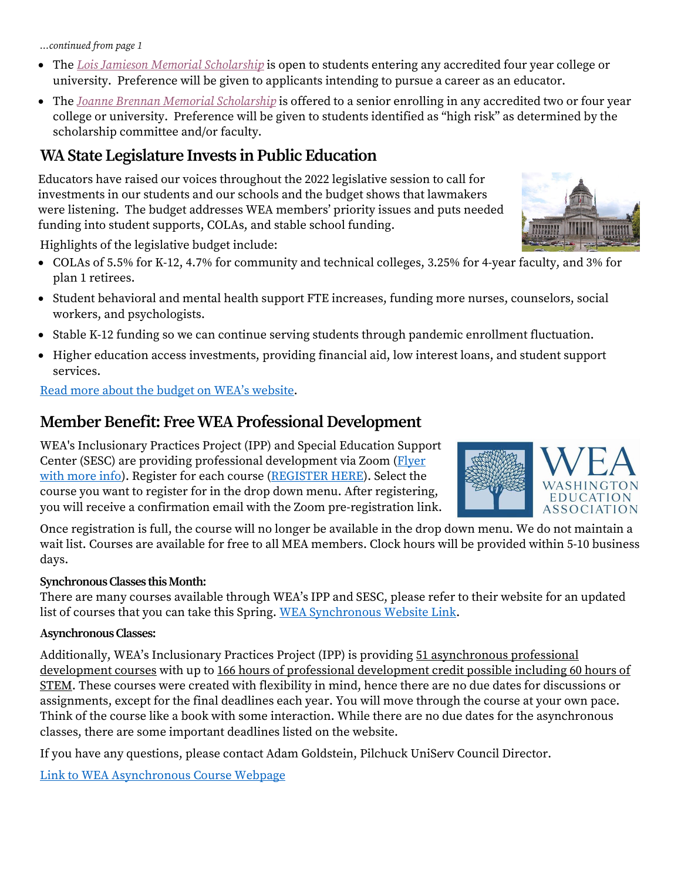*…continued from page 1*

- The *[Lois Jamieson Memorial Scholarship](https://forms.office.com/Pages/ResponsePage.aspx?id=7tYbxSI7C0yg_fw8PTR8p8ZRYM1Do-VBphadqS7s3axUN1VBMDI3TzBBUjJMSVBQSjQwQkQyMkNCMy4u)* is open to students entering any accredited four year college or university. Preference will be given to applicants intending to pursue a career as an educator.
- The *[Joanne Brennan Memorial Scholarship](https://nam11.safelinks.protection.outlook.com/?url=https%3A%2F%2Fforms.office.com%2FPages%2FResponsePage.aspx%3Fid%3D7tYbxSI7C0yg_fw8PTR8p8ZRYM1Do-VBphadqS7s3axUQzdHVlZMVlFBTkNZR1U1WUM0NEo0UkxGWC4u&data=04%7C01%7Ctkartchner%40washingtonea.org%7C048084a841eb417a0ddb08da086301d3%7Cc51bd6ee3b224c0ba0fdfc3c3d347ca7%7C0%7C0%7C637831518597294302%7CUnknown%7CTWFpbGZsb3d8eyJWIjoiMC4wLjAwMDAiLCJQIjoiV2luMzIiLCJBTiI6Ik1haWwiLCJXVCI6Mn0%3D%7C3000&sdata=Z1nATi0TBVFcw%2FNxTASgx7e%2BfOQpKgM8dfGklHKYMxA%3D&reserved=0)* is offered to a senior enrolling in any accredited two or four year college or university. Preference will be given to students identified as "high risk" as determined by the scholarship committee and/or faculty.

### **WA State Legislature Invests in Public Education**

Educators have raised our voices throughout the 2022 legislative session to call for investments in our students and our schools and the budget shows that lawmakers were listening. The budget addresses WEA members' priority issues and puts needed funding into student supports, COLAs, and stable school funding.

Highlights of the legislative budget include:

- COLAs of 5.5% for K-12, 4.7% for community and technical colleges, 3.25% for 4-year faculty, and 3% for plan 1 retirees.
- Student behavioral and mental health support FTE increases, funding more nurses, counselors, social workers, and psychologists.
- Stable K-12 funding so we can continue serving students through pandemic enrollment fluctuation.
- Higher education access investments, providing financial aid, low interest loans, and student support services.

[Read more about the budget on WEA's website](https://www.washingtonea.org/advocacy/ourvoice/post/state-budget-invests-in-public-education/).

## **Member Benefit: Free WEA Professional Development**

WEA's Inclusionary Practices Project (IPP) and Special Education Support Center (SESC) are providing professional development via Zoom (Flyer [with more info\)](https://washingtonea-my.sharepoint.com/:b:/g/personal/tkartchner_washingtonea_org/Eb3Yi6qZrvtOvQrae0mebgkBpK31a9SgbENPiHFkm03v-g?e=xLU4Za). Register for each course [\(REGISTER HERE\)](https://nam11.safelinks.protection.outlook.com/?url=https%3A%2F%2Fforms.washingtonea.org%2FForms%2Fpdonline&data=04%7C01%7Ctkartchner%40washingtonea.org%7Ca280997b7c5d428b990b08d9ec593056%7Cc51bd6ee3b224c0ba0fdfc3c3d347ca7%7C0%7C0%7C637800691380297806%7CUnknown%7CTWFpbGZsb3d8eyJWIjoiMC4wLjAwMDAiLCJQIjoiV2luMzIiLCJBTiI6Ik1haWwiLCJXVCI6Mn0%3D%7C3000&sdata=ioqzNvRRnR5vlBmwvPx2KG1pf0E3j%2BkR8eYMvWU7BPw%3D&reserved=0). Select the course you want to register for in the drop down menu. After registering, you will receive a confirmation email with the Zoom pre-registration link.

Once registration is full, the course will no longer be available in the drop down menu. We do not maintain a wait list. Courses are available for free to all MEA members. Clock hours will be provided within 5-10 business days.

#### **Synchronous Classes this Month:**

There are many courses available through WEA's IPP and SESC, please refer to their website for an updated list of courses that you can take this Spring. [WEA Synchronous Website Link.](https://www.washingtonea.org/pd/synchronous-trainings/)

#### **Asynchronous Classes:**

Additionally, WEA's Inclusionary Practices Project (IPP) is providing 51 asynchronous professional development courses with up to 166 hours of professional development credit possible including 60 hours of STEM. These courses were created with flexibility in mind, hence there are no due dates for discussions or assignments, except for the final deadlines each year. You will move through the course at your own pace. Think of the course like a book with some interaction. While there are no due dates for the asynchronous classes, there are some important deadlines listed on the website.

If you have any questions, please contact Adam Goldstein, Pilchuck UniServ Council Director.

[Link to WEA Asynchronous Course Webpage](https://www.washingtonea.org/pd/asynchronous-courses/)



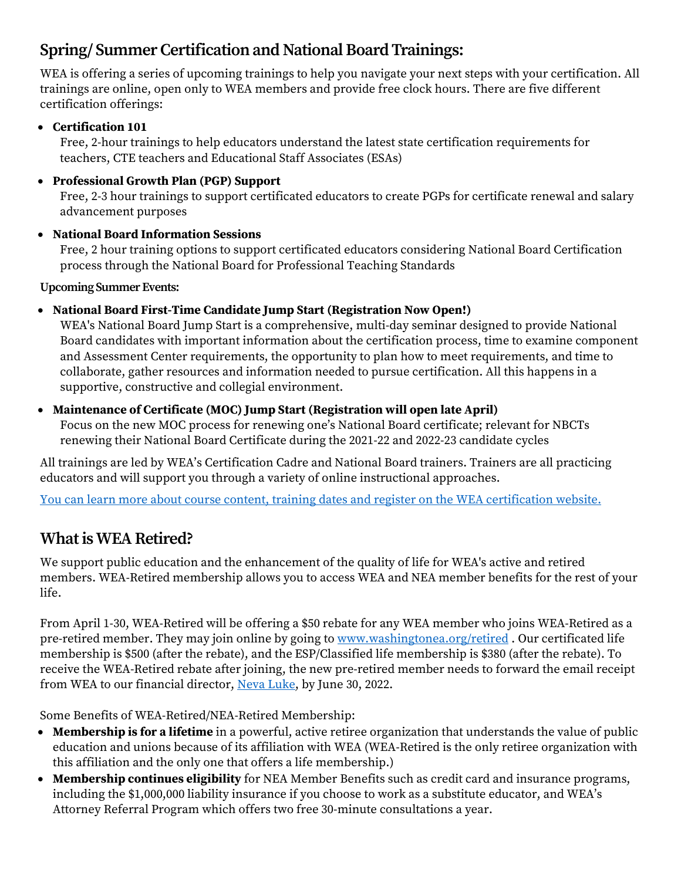## **Spring/ Summer Certification and National Board Trainings:**

WEA is offering a series of upcoming trainings to help you navigate your next steps with your certification. All trainings are online, open only to WEA members and provide free clock hours. There are five different certification offerings:

#### • **Certification 101**

Free, 2-hour trainings to help educators understand the latest state certification requirements for teachers, CTE teachers and Educational Staff Associates (ESAs)

#### • **Professional Growth Plan (PGP) Support**

Free, 2-3 hour trainings to support certificated educators to create PGPs for certificate renewal and salary advancement purposes

#### • **National Board Information Sessions**

Free, 2 hour training options to support certificated educators considering National Board Certification process through the National Board for Professional Teaching Standards

**Upcoming Summer Events:** 

#### • **National Board First-Time Candidate Jump Start (Registration Now Open!)**

WEA's National Board Jump Start is a comprehensive, multi-day seminar designed to provide National Board candidates with important information about the certification process, time to examine component and Assessment Center requirements, the opportunity to plan how to meet requirements, and time to collaborate, gather resources and information needed to pursue certification. All this happens in a supportive, constructive and collegial environment.

#### • **Maintenance of Certificate (MOC) Jump Start (Registration will open late April)**

Focus on the new MOC process for renewing one's National Board certificate; relevant for NBCTs renewing their National Board Certificate during the 2021-22 and 2022-23 candidate cycles

All trainings are led by WEA's Certification Cadre and National Board trainers. Trainers are all practicing educators and will support you through a variety of online instructional approaches.

[You can learn more about course content, training dates and register](https://www.washingtonea.org/pd/certification-licensure) on the WEA certification website.

## **What is WEA Retired?**

We support public education and the enhancement of the quality of life for WEA's active and retired members. WEA-Retired membership allows you to access WEA and NEA member benefits for the rest of your life.

From April 1-30, WEA-Retired will be offering a \$50 rebate for any WEA member who joins WEA-Retired as a pre-retired member. They may join online by going to [www.washingtonea.org/retired](https://nam11.safelinks.protection.outlook.com/?url=http%3A%2F%2Fwww.washingtonea.org%2Fretired&data=04%7C01%7Ctkartchner%40washingtonea.org%7C90f5cb1cda4c40cef30508da0e01160e%7Cc51bd6ee3b224c0ba0fdfc3c3d347ca7%7C0%7C0%7C637837696238411623%7CUnknown%7CTWFpbGZsb3d8eyJWIjoiMC4wLjAwMDAiLCJQIjoiV2luMzIiLCJBTiI6Ik1haWwiLCJXVCI6Mn0%3D%7C3000&sdata=ql%2B9PCZL0jlm6ALG6KDhbXS%2B%2BL%2Fg4DjRiepP40OjZYI%3D&reserved=0). Our certificated life membership is \$500 (after the rebate), and the ESP/Classified life membership is \$380 (after the rebate). To receive the WEA-Retired rebate after joining, the new pre-retired member needs to forward the email receipt from WEA to our financial director, [Neva Luke,](mailto:bigmom2g@msn.com) by June 30, 2022.

Some Benefits of WEA-Retired/NEA-Retired Membership:

- **Membership is for a lifetime** in a powerful, active retiree organization that understands the value of public education and unions because of its affiliation with WEA (WEA-Retired is the only retiree organization with this affiliation and the only one that offers a life membership.)
- **Membership continues eligibility** for NEA Member Benefits such as credit card and insurance programs, including the \$1,000,000 liability insurance if you choose to work as a substitute educator, and WEA's Attorney Referral Program which offers two free 30-minute consultations a year.